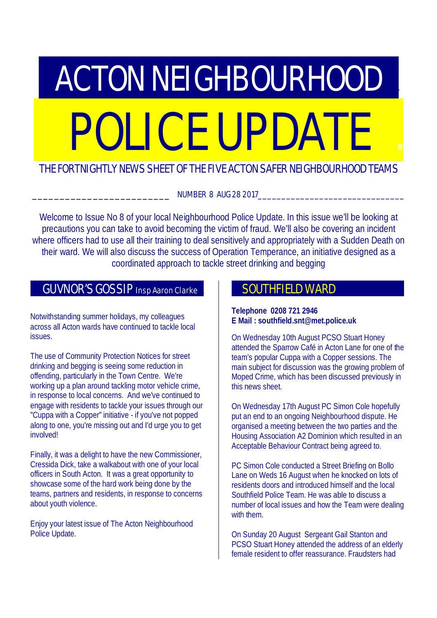# **ACTON NEIGHBOURHOOD** POLICE UPDATE

# THE FORTNIGHTLY NEWS SHEET OF THE FIVE ACTON SAFER NEIGHBOURHOOD TEAMS

NUMBER 8 AUG 28 2017

Welcome to Issue No 8 of your local Neighbourhood Police Update. In this issue we'll be looking at precautions you can take to avoid becoming the victim of fraud. We'll also be covering an incident where officers had to use all their training to deal sensitively and appropriately with a Sudden Death on their ward. We will also discuss the success of Operation Temperance, an initiative designed as a coordinated approach to tackle street drinking and begging

# GUVNOR'S GOSSIP Insp Aaron Clarke

Notwithstanding summer holidays, my colleagues across all Acton wards have continued to tackle local issues.

The use of Community Protection Notices for street drinking and begging is seeing some reduction in offending, particularly in the Town Centre. We're working up a plan around tackling motor vehicle crime, in response to local concerns. And we've continued to engage with residents to tackle your issues through our "Cuppa with a Copper" initiative - if you've not popped along to one, you're missing out and I'd urge you to get involved!

Finally, it was a delight to have the new Commissioner, Cressida Dick, take a walkabout with one of your local officers in South Acton. It was a great opportunity to showcase some of the hard work being done by the teams, partners and residents, in response to concerns about youth violence.

Enjoy your latest issue of The Acton Neighbourhood Police Update.

# SOUTHFIELD WARD

## **Telephone 0208 721 2946 E Mail : southfield.snt@met.police.uk**

On Wednesday 10th August PCSO Stuart Honey attended the Sparrow Café in Acton Lane for one of the team's popular Cuppa with a Copper sessions. The main subject for discussion was the growing problem of Moped Crime, which has been discussed previously in this news sheet.

On Wednesday 17th August PC Simon Cole hopefully put an end to an ongoing Neighbourhood dispute. He organised a meeting between the two parties and the Housing Association A2 Dominion which resulted in an Acceptable Behaviour Contract being agreed to.

PC Simon Cole conducted a Street Briefing on Bollo Lane on Weds 16 August when he knocked on lots of residents doors and introduced himself and the local Southfield Police Team. He was able to discuss a number of local issues and how the Team were dealing with them.

On Sunday 20 August Sergeant Gail Stanton and PCSO Stuart Honey attended the address of an elderly female resident to offer reassurance. Fraudsters had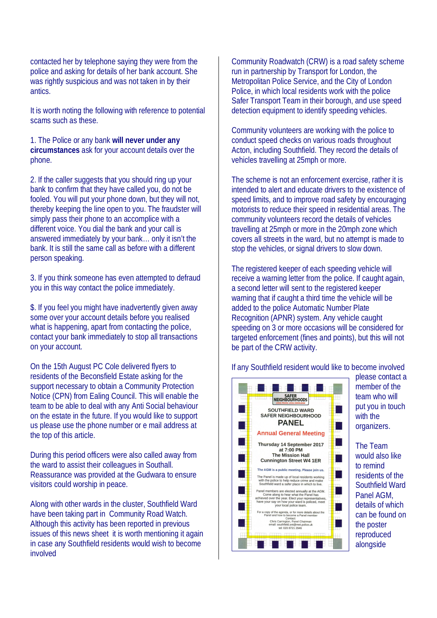contacted her by telephone saying they were from the police and asking for details of her bank account. She was rightly suspicious and was not taken in by their antics.

It is worth noting the following with reference to potential scams such as these.

1. The Police or any bank **will never under any circumstances** ask for your account details over the phone.

2. If the caller suggests that you should ring up your bank to confirm that they have called you, do not be fooled. You will put your phone down, but they will not, thereby keeping the line open to you. The fraudster will simply pass their phone to an accomplice with a different voice. You dial the bank and your call is answered immediately by your bank… only it isn't the bank. It is still the same call as before with a different person speaking.

3. If you think someone has even attempted to defraud you in this way contact the police immediately.

\$. If you feel you might have inadvertently given away some over your account details before you realised what is happening, apart from contacting the police, contact your bank immediately to stop all transactions on your account.

On the 15th August PC Cole delivered flyers to residents of the Beconsfield Estate asking for the support necessary to obtain a Community Protection Notice (CPN) from Ealing Council. This will enable the team to be able to deal with any Anti Social behaviour on the estate in the future. If you would like to support us please use the phone number or e mail address at the top of this article.

During this period officers were also called away from the ward to assist their colleagues in Southall. Reassurance was provided at the Gudwara to ensure visitors could worship in peace.

Along with other wards in the cluster, Southfield Ward have been taking part in Community Road Watch. Although this activity has been reported in previous issues of this news sheet it is worth mentioning it again in case any Southfield residents would wish to become involved

Community Roadwatch (CRW) is a road safety scheme run in partnership by Transport for London, the Metropolitan Police Service, and the City of London Police, in which local residents work with the police Safer Transport Team in their borough, and use speed detection equipment to identify speeding vehicles.

Community volunteers are working with the police to conduct speed checks on various roads throughout Acton, including Southfield. They record the details of vehicles travelling at 25mph or more.

The scheme is not an enforcement exercise, rather it is intended to alert and educate drivers to the existence of speed limits, and to improve road safety by encouraging motorists to reduce their speed in residential areas. The community volunteers record the details of vehicles travelling at 25mph or more in the 20mph zone which covers all streets in the ward, but no attempt is made to stop the vehicles, or signal drivers to slow down.

The registered keeper of each speeding vehicle will receive a warning letter from the police. If caught again, a second letter will sent to the registered keeper warning that if caught a third time the vehicle will be added to the police Automatic Number Plate Recognition (APNR) system. Any vehicle caught speeding on 3 or more occasions will be considered for targeted enforcement (fines and points), but this will not be part of the CRW activity.

If any Southfield resident would like to become involved



please contact a member of the team who will put you in touch with the organizers.

The Team would also like to remind residents of the Southfield Ward Panel AGM, details of which can be found on the poster reproduced alongside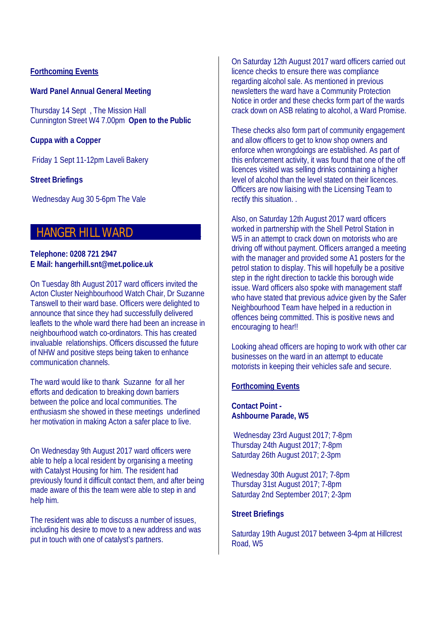#### **Forthcoming Events**

#### **Ward Panel Annual General Meeting**

Thursday 14 Sept , The Mission Hall Cunnington Street W4 7.00pm **Open to the Public**

#### **Cuppa with a Copper**

Friday 1 Sept 11-12pm Laveli Bakery

#### **Street Briefings**

Wednesday Aug 30 5-6pm The Vale

## **HANGER HILL WARD**

#### **Telephone: 0208 721 2947 E Mail: hangerhill.snt@met.police.uk**

On Tuesday 8th August 2017 ward officers invited the Acton Cluster Neighbourhood Watch Chair, Dr Suzanne Tanswell to their ward base. Officers were delighted to announce that since they had successfully delivered leaflets to the whole ward there had been an increase in neighbourhood watch co-ordinators. This has created invaluable relationships. Officers discussed the future of NHW and positive steps being taken to enhance communication channels.

The ward would like to thank Suzanne for all her efforts and dedication to breaking down barriers between the police and local communities. The enthusiasm she showed in these meetings underlined her motivation in making Acton a safer place to live.

On Wednesday 9th August 2017 ward officers were able to help a local resident by organising a meeting with Catalyst Housing for him. The resident had previously found it difficult contact them, and after being made aware of this the team were able to step in and help him.

The resident was able to discuss a number of issues, including his desire to move to a new address and was put in touch with one of catalyst's partners.

On Saturday 12th August 2017 ward officers carried out licence checks to ensure there was compliance regarding alcohol sale. As mentioned in previous newsletters the ward have a Community Protection Notice in order and these checks form part of the wards crack down on ASB relating to alcohol, a Ward Promise.

These checks also form part of community engagement and allow officers to get to know shop owners and enforce when wrongdoings are established. As part of this enforcement activity, it was found that one of the off licences visited was selling drinks containing a higher level of alcohol than the level stated on their licences. Officers are now liaising with the Licensing Team to rectify this situation. .

Also, on Saturday 12th August 2017 ward officers worked in partnership with the Shell Petrol Station in W<sub>5</sub> in an attempt to crack down on motorists who are driving off without payment. Officers arranged a meeting with the manager and provided some A1 posters for the petrol station to display. This will hopefully be a positive step in the right direction to tackle this borough wide issue. Ward officers also spoke with management staff who have stated that previous advice given by the Safer Neighbourhood Team have helped in a reduction in offences being committed. This is positive news and encouraging to hear!!

Looking ahead officers are hoping to work with other car businesses on the ward in an attempt to educate motorists in keeping their vehicles safe and secure.

#### **Forthcoming Events**

**Contact Point - Ashbourne Parade, W5** 

 Wednesday 23rd August 2017; 7-8pm Thursday 24th August 2017; 7-8pm Saturday 26th August 2017; 2-3pm

Wednesday 30th August 2017; 7-8pm Thursday 31st August 2017; 7-8pm Saturday 2nd September 2017; 2-3pm

#### **Street Briefings**

Saturday 19th August 2017 between 3-4pm at Hillcrest Road, W5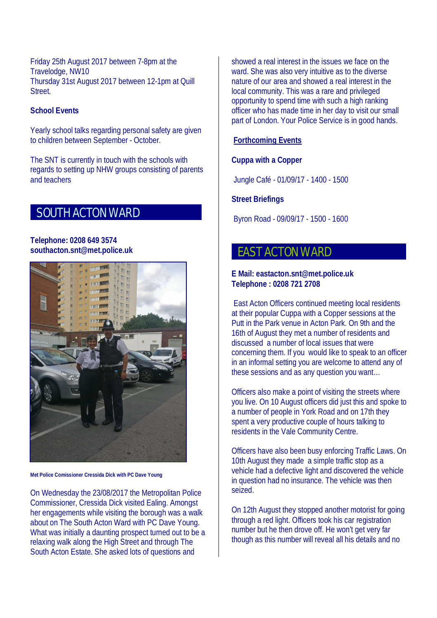Friday 25th August 2017 between 7-8pm at the Travelodge, NW10 Thursday 31st August 2017 between 12-1pm at Quill Street.

## **School Events**

Yearly school talks regarding personal safety are given to children between September - October.

The SNT is currently in touch with the schools with regards to setting up NHW groups consisting of parents and teachers

# **SOUTH ACTON WARD**

#### **Telephone: 0208 649 3574 southacton.snt@met.police.uk**



**Met Police Comissioner Cressida Dick with PC Dave Young**

On Wednesday the 23/08/2017 the Metropolitan Police Commissioner, Cressida Dick visited Ealing. Amongst her engagements while visiting the borough was a walk about on The South Acton Ward with PC Dave Young. What was initially a daunting prospect turned out to be a relaxing walk along the High Street and through The South Acton Estate. She asked lots of questions and

showed a real interest in the issues we face on the ward. She was also very intuitive as to the diverse nature of our area and showed a real interest in the local community. This was a rare and privileged opportunity to spend time with such a high ranking officer who has made time in her day to visit our small part of London. Your Police Service is in good hands.

## **Forthcoming Events**

## **Cuppa with a Copper**

Jungle Café - 01/09/17 - 1400 - 1500

## **Street Briefings**

Byron Road - 09/09/17 - 1500 - 1600

# **EAST ACTON WARD**

#### **E Mail: eastacton.snt@met.police.uk Telephone : 0208 721 2708**

East Acton Officers continued meeting local residents at their popular Cuppa with a Copper sessions at the Putt in the Park venue in Acton Park. On 9th and the 16th of August they met a number of residents and discussed a number of local issues that were concerning them. If you would like to speak to an officer in an informal setting you are welcome to attend any of these sessions and as any question you want…

Officers also make a point of visiting the streets where you live. On 10 August officers did just this and spoke to a number of people in York Road and on 17th they spent a very productive couple of hours talking to residents in the Vale Community Centre.

Officers have also been busy enforcing Traffic Laws. On 10th August they made a simple traffic stop as a vehicle had a defective light and discovered the vehicle in question had no insurance. The vehicle was then seized.

On 12th August they stopped another motorist for going through a red light. Officers took his car registration number but he then drove off. He won't get very far though as this number will reveal all his details and no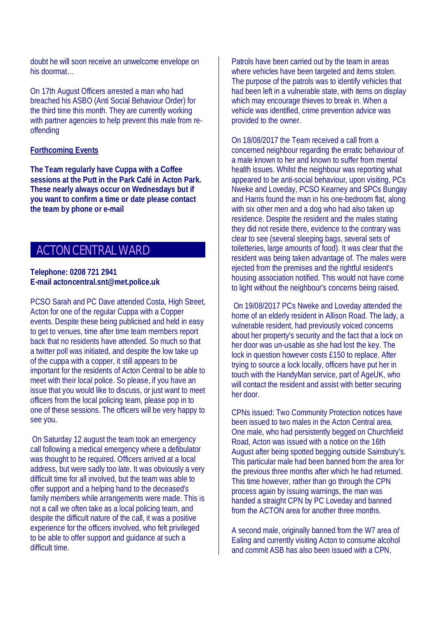doubt he will soon receive an unwelcome envelope on his doormat…

On 17th August Officers arrested a man who had breached his ASBO (Anti Social Behaviour Order) for the third time this month. They are currently working with partner agencies to help prevent this male from reoffending

#### **Forthcoming Events**

**The Team regularly have Cuppa with a Coffee sessions at the Putt in the Park Café in Acton Park. These nearly always occur on Wednesdays but if you want to confirm a time or date please contact the team by phone or e-mail**

# **ACTON CENTRAL WARD**

#### **Telephone: 0208 721 2941 E-mail actoncentral.snt@met.police.uk**

PCSO Sarah and PC Dave attended Costa, High Street, Acton for one of the regular Cuppa with a Copper events. Despite these being publicised and held in easy to get to venues, time after time team members report back that no residents have attended. So much so that a twitter poll was initiated, and despite the low take up of the cuppa with a copper, it still appears to be important for the residents of Acton Central to be able to meet with their local police. So please, if you have an issue that you would like to discuss, or just want to meet officers from the local policing team, please pop in to one of these sessions. The officers will be very happy to see you.

On Saturday 12 august the team took an emergency call following a medical emergency where a defibulator was thought to be required. Officers arrived at a local address, but were sadly too late. It was obviously a very difficult time for all involved, but the team was able to offer support and a helping hand to the deceased's family members while arrangements were made. This is not a call we often take as a local policing team, and despite the difficult nature of the call, it was a positive experience for the officers involved, who felt privileged to be able to offer support and guidance at such a difficult time.

Patrols have been carried out by the team in areas where vehicles have been targeted and items stolen. The purpose of the patrols was to identify vehicles that had been left in a vulnerable state, with items on display which may encourage thieves to break in. When a vehicle was identified, crime prevention advice was provided to the owner.

On 18/08/2017 the Team received a call from a concerned neighbour regarding the erratic behaviour of a male known to her and known to suffer from mental health issues. Whilst the neighbour was reporting what appeared to be anti-social behaviour, upon visiting, PCs Nweke and Loveday, PCSO Kearney and SPCs Bungay and Harris found the man in his one-bedroom flat, along with six other men and a dog who had also taken up residence. Despite the resident and the males stating they did not reside there, evidence to the contrary was clear to see (several sleeping bags, several sets of toiletteries, large amounts of food). It was clear that the resident was being taken advantage of. The males were ejected from the premises and the rightful resident's housing association notified. This would not have come to light without the neighbour's concerns being raised.

On 19/08/2017 PCs Nweke and Loveday attended the home of an elderly resident in Allison Road. The lady, a vulnerable resident, had previously voiced concerns about her property's security and the fact that a lock on her door was un-usable as she had lost the key. The lock in question however costs £150 to replace. After trying to source a lock locally, officers have put her in touch with the HandyMan service, part of AgeUK, who will contact the resident and assist with better securing her door.

CPNs issued: Two Community Protection notices have been issued to two males in the Acton Central area. One male, who had persistently begged on Churchfield Road, Acton was issued with a notice on the 16th August after being spotted begging outside Sainsbury's. This particular male had been banned from the area for the previous three months after which he had returned. This time however, rather than go through the CPN process again by issuing warnings, the man was handed a straight CPN by PC Loveday and banned from the ACTON area for another three months.

A second male, originally banned from the W7 area of Ealing and currently visiting Acton to consume alcohol and commit ASB has also been issued with a CPN,